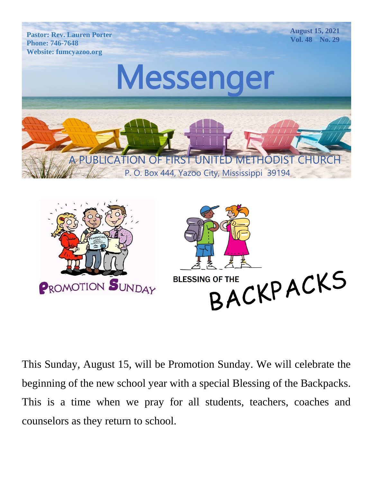

**August 15, 2021 Vol. 48 No. 29**



A PUBLICATION OF FIRST UNITED METHODIST CHURCH

P. O. Box 444, Yazoo City, Mississippi 39194



This Sunday, August 15, will be Promotion Sunday. We will celebrate the beginning of the new school year with a special Blessing of the Backpacks. This is a time when we pray for all students, teachers, coaches and counselors as they return to school.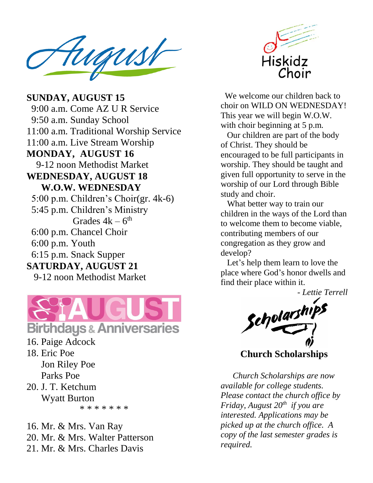Pastor: Rev. Lauren Porter  $\blacksquare$ Website: fumcyazoo.org

**MONDAY, AUGUST 16** 9-12 noon Methodist Market  $\frac{1}{2}$  Hoon M **SUNDAY, AUGUST 15** 9:00 a.m. Come AZ U R Service 9:50 a.m. Sunday School 11:00 a.m. Traditional Worship Service 11:00 a.m. Live Stream Worship **WEDNESDAY, AUGUST 18 W.O.W. WEDNESDAY** 5:00 p.m. Children's Choir(gr. 4k-6) 5:45 p.m. Children's Ministry Grades  $4k-6$ <sup>th</sup> 6:00 p.m. Chancel Choir 6:00 p.m. Youth 6:15 p.m. Snack Supper **SATURDAY, AUGUST 21** 9-12 noon Methodist Market



- 16. Paige Adcock
- 18. Eric Poe Jon Riley Poe Parks Poe
- 20. J. T. Ketchum Wyatt Burton

\* \* \* \* \* \* \*

16. Mr. & Mrs. Van Ray 20. Mr. & Mrs. Walter Patterson 21. Mr. & Mrs. Charles Davis



We welcome our children back to choir on WILD ON WEDNESDAY! This year we will begin W.O.W. with choir beginning at 5 p.m.

 Our children are part of the body of Christ. They should be encouraged to be full participants in worship. They should be taught and given full opportunity to serve in the worship of our Lord through Bible study and choir.

 What better way to train our children in the ways of the Lord than to welcome them to become viable, contributing members of our congregation as they grow and develop?

 Let's help them learn to love the place where God's honor dwells and find their place within it.

*- Lettie Terrell*

Scholarshi

**Church Scholarships**

 *Church Scholarships are now available for college students. Please contact the church office by Friday, August 20 th if you are interested. Applications may be picked up at the church office. A copy of the last semester grades is required.*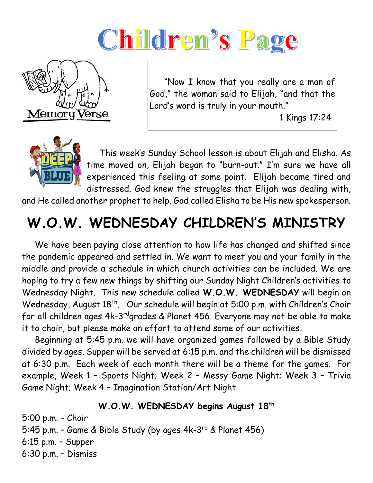# Children's Page



 "Now I know that you really are a man of God," the woman said to Elijah, "and that the Lord's word is truly in your mouth."

1 Kings 17:24



 This week's Sunday School lesson is about Elijah and Elisha. As time moved on, Elijah began to "burn-out." I'm sure we have all experienced this feeling at some point. Elijah became tired and distressed. God knew the struggles that Elijah was dealing with,

and He called another prophet to help. God called Elisha to be His new spokesperson.

# **W.O.W. WEDNESDAY CHILDREN'S MINISTRY**

 We have been paying close attention to how life has changed and shifted since the pandemic appeared and settled in. We want to meet you and your family in the middle and provide a schedule in which church activities can be included. We are hoping to try a few new things by shifting our Sunday Night Children's activities to Wednesday Night. This new schedule called **W.O.W. WEDNESDAY** will begin on Wednesday, August 18<sup>th</sup>. Our schedule will begin at 5:00 p.m. with Children's Choir for all children ages 4k-3<sup>rd</sup>grades & Planet 456. Everyone may not be able to make it to choir, but please make an effort to attend some of our activities.

 Beginning at 5:45 p.m. we will have organized games followed by a Bible Study divided by ages. Supper will be served at 6:15 p.m. and the children will be dismissed at 6:30 p.m. Each week of each month there will be a theme for the games. For example, Week 1 – Sports Night; Week 2 – Messy Game Night; Week 3 – Trivia Game Night; Week 4 – Imagination Station/Art Night

#### **W.O.W. WEDNESDAY begins August 18th**

5:00 p.m. – Choir 5:45 p.m. – Game & Bible Study (by ages 4k-3 rd & Planet 456) 6:15 p.m. – Supper 6:30 p.m. – Dismiss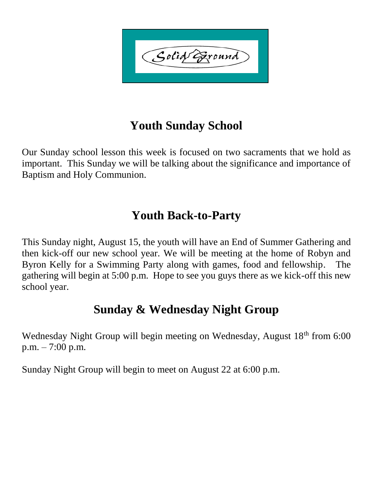Solid Exound

### **Youth Sunday School**

Our Sunday school lesson this week is focused on two sacraments that we hold as important. This Sunday we will be talking about the significance and importance of Baptism and Holy Communion.

#### **Youth Back-to-Party**

This Sunday night, August 15, the youth will have an End of Summer Gathering and then kick-off our new school year. We will be meeting at the home of Robyn and Byron Kelly for a Swimming Party along with games, food and fellowship. The gathering will begin at 5:00 p.m. Hope to see you guys there as we kick-off this new school year.

### **Sunday & Wednesday Night Group**

Wednesday Night Group will begin meeting on Wednesday, August 18<sup>th</sup> from 6:00 p.m. – 7:00 p.m.

Sunday Night Group will begin to meet on August 22 at 6:00 p.m.